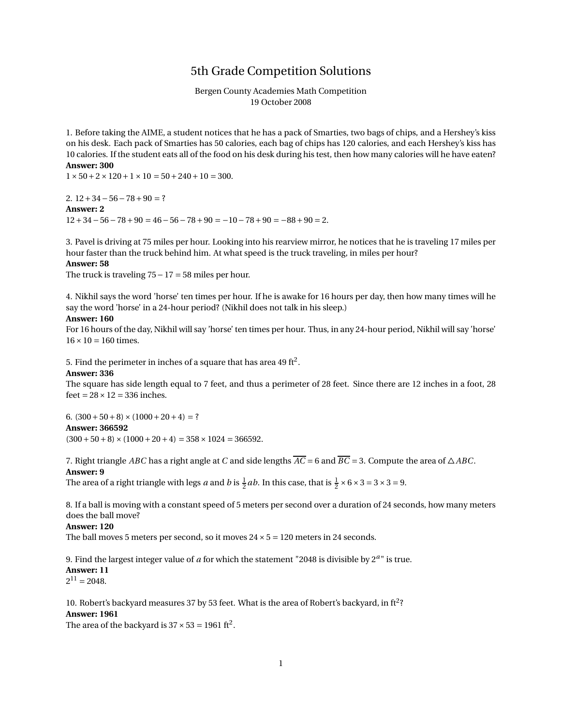# 5th Grade Competition Solutions

Bergen County Academies Math Competition 19 October 2008

1. Before taking the AIME, a student notices that he has a pack of Smarties, two bags of chips, and a Hershey's kiss on his desk. Each pack of Smarties has 50 calories, each bag of chips has 120 calories, and each Hershey's kiss has 10 calories. If the student eats all of the food on his desk during his test, then how many calories will he have eaten? **Answer: 300**

 $1 \times 50 + 2 \times 120 + 1 \times 10 = 50 + 240 + 10 = 300$ .

2.  $12+34-56-78+90=?$ **Answer: 2**  $12+34-56-78+90=46-56-78+90=-10-78+90=-88+90=2.$ 

3. Pavel is driving at 75 miles per hour. Looking into his rearview mirror, he notices that he is traveling 17 miles per hour faster than the truck behind him. At what speed is the truck traveling, in miles per hour? **Answer: 58**

The truck is traveling  $75-17=58$  miles per hour.

4. Nikhil says the word 'horse' ten times per hour. If he is awake for 16 hours per day, then how many times will he say the word 'horse' in a 24-hour period? (Nikhil does not talk in his sleep.)

## **Answer: 160**

For 16 hours of the day, Nikhil will say 'horse' ten times per hour. Thus, in any 24-hour period, Nikhil will say 'horse'  $16 \times 10 = 160$  times.

5. Find the perimeter in inches of a square that has area 49 ft $^2$ .

### **Answer: 336**

The square has side length equal to 7 feet, and thus a perimeter of 28 feet. Since there are 12 inches in a foot, 28 feet =  $28 \times 12 = 336$  inches.

6.  $(300+50+8) \times (1000+20+4) = ?$ **Answer: 366592**  $(300+50+8) \times (1000+20+4) = 358 \times 1024 = 366592.$ 

7. Right triangle *ABC* has a right angle at *C* and side lengths  $\overline{AC} = 6$  and  $\overline{BC} = 3$ . Compute the area of  $\triangle ABC$ . **Answer: 9**

The area of a right triangle with legs *a* and *b* is  $\frac{1}{2}ab$ . In this case, that is  $\frac{1}{2} \times 6 \times 3 = 3 \times 3 = 9$ .

8. If a ball is moving with a constant speed of 5 meters per second over a duration of 24 seconds, how many meters does the ball move?

#### **Answer: 120**

The ball moves 5 meters per second, so it moves  $24 \times 5 = 120$  meters in 24 seconds.

9. Find the largest integer value of  $a$  for which the statement "2048 is divisible by  $2^{a}$ " is true. **Answer: 11**  $2^{11} = 2048.$ 

10. Robert's backyard measures 37 by 53 feet. What is the area of Robert's backyard, in ft<sup>2</sup>? **Answer: 1961**

The area of the backyard is  $37 \times 53 = 1961 \text{ ft}^2$ .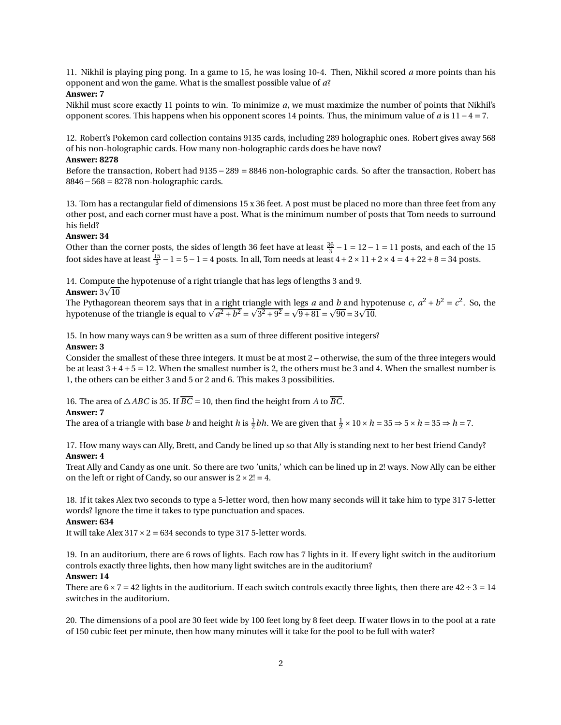11. Nikhil is playing ping pong. In a game to 15, he was losing 10-4. Then, Nikhil scored *a* more points than his opponent and won the game. What is the smallest possible value of *a*?

## **Answer: 7**

Nikhil must score exactly 11 points to win. To minimize *a*, we must maximize the number of points that Nikhil's opponent scores. This happens when his opponent scores 14 points. Thus, the minimum value of *a* is 11−4 = 7.

12. Robert's Pokemon card collection contains 9135 cards, including 289 holographic ones. Robert gives away 568 of his non-holographic cards. How many non-holographic cards does he have now?

## **Answer: 8278**

Before the transaction, Robert had 9135− 289 = 8846 non-holographic cards. So after the transaction, Robert has 8846−568 = 8278 non-holographic cards.

13. Tom has a rectangular field of dimensions 15 x 36 feet. A post must be placed no more than three feet from any other post, and each corner must have a post. What is the minimum number of posts that Tom needs to surround his field?

# **Answer: 34**

Other than the corner posts, the sides of length 36 feet have at least  $\frac{36}{3} - 1 = 12 - 1 = 11$  posts, and each of the 15 foot sides have at least  $\frac{15}{3} - 1 = 5 - 1 = 4$  posts. In all, Tom needs at least  $4 + 2 \times 11 + 2 \times 4 = 4 + 22 + 8 = 34$  posts.

14. Compute the hypotenuse of a right triangle that has legs of lengths 3 and 9.

# **Answer:** 3 $\sqrt{10}$

The Pythagorean theorem says that in <u>a right triangle wi</u>th legs *a* and *b* and hypotenuse *c*,  $a^2 + b^2 = c^2$ . So, the hypotenuse of the triangle is equal to  $\sqrt{a^2 + b^2} = \sqrt{3^2 + 9^2} = \sqrt{9 + 81} = \sqrt{90} = 3\sqrt{10}$ .

15. In how many ways can 9 be written as a sum of three different positive integers?

### **Answer: 3**

Consider the smallest of these three integers. It must be at most 2 – otherwise, the sum of the three integers would be at least  $3+4+5=12$ . When the smallest number is 2, the others must be 3 and 4. When the smallest number is 1, the others can be either 3 and 5 or 2 and 6. This makes 3 possibilities.

16. The area of  $\triangle ABC$  is 35. If  $\overline{BC} = 10$ , then find the height from *A* to  $\overline{BC}$ .

### **Answer: 7**

The area of a triangle with base *b* and height *h* is  $\frac{1}{2}bh$ . We are given that  $\frac{1}{2} \times 10 \times h = 35 \Rightarrow 5 \times h = 35 \Rightarrow h = 7$ .

17. How many ways can Ally, Brett, and Candy be lined up so that Ally is standing next to her best friend Candy? **Answer: 4**

Treat Ally and Candy as one unit. So there are two 'units,' which can be lined up in 2! ways. Now Ally can be either on the left or right of Candy, so our answer is  $2 \times 2! = 4$ .

18. If it takes Alex two seconds to type a 5-letter word, then how many seconds will it take him to type 317 5-letter words? Ignore the time it takes to type punctuation and spaces.

### **Answer: 634**

It will take Alex  $317 \times 2 = 634$  seconds to type 317 5-letter words.

19. In an auditorium, there are 6 rows of lights. Each row has 7 lights in it. If every light switch in the auditorium controls exactly three lights, then how many light switches are in the auditorium?

### **Answer: 14**

There are  $6 \times 7 = 42$  lights in the auditorium. If each switch controls exactly three lights, then there are  $42 \div 3 = 14$ switches in the auditorium.

20. The dimensions of a pool are 30 feet wide by 100 feet long by 8 feet deep. If water flows in to the pool at a rate of 150 cubic feet per minute, then how many minutes will it take for the pool to be full with water?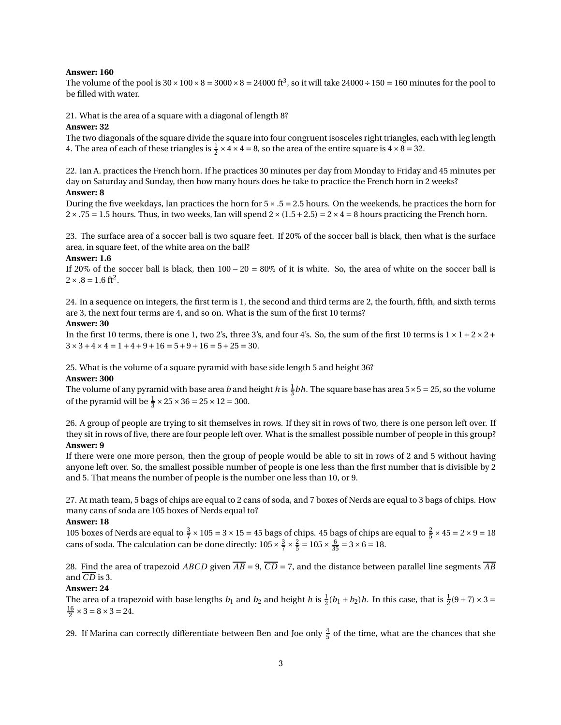### **Answer: 160**

The volume of the pool is  $30 \times 100 \times 8 = 3000 \times 8 = 24000$  ft<sup>3</sup>, so it will take  $24000 \div 150 = 160$  minutes for the pool to be filled with water.

21. What is the area of a square with a diagonal of length 8?

### **Answer: 32**

The two diagonals of the square divide the square into four congruent isosceles right triangles, each with leg length 4. The area of each of these triangles is  $\frac{1}{2} \times 4 \times 4 = 8$ , so the area of the entire square is  $4 \times 8 = 32$ .

22. Ian A. practices the French horn. If he practices 30 minutes per day from Monday to Friday and 45 minutes per day on Saturday and Sunday, then how many hours does he take to practice the French horn in 2 weeks? **Answer: 8**

During the five weekdays, Ian practices the horn for  $5 \times .5 = 2.5$  hours. On the weekends, he practices the horn for  $2 \times .75 = 1.5$  hours. Thus, in two weeks, Ian will spend  $2 \times (1.5 + 2.5) = 2 \times 4 = 8$  hours practicing the French horn.

23. The surface area of a soccer ball is two square feet. If 20% of the soccer ball is black, then what is the surface area, in square feet, of the white area on the ball?

### **Answer: 1.6**

If 20% of the soccer ball is black, then 100 − 20 = 80% of it is white. So, the area of white on the soccer ball is  $2 \times .8 = 1.6 \text{ ft}^2.$ 

24. In a sequence on integers, the first term is 1, the second and third terms are 2, the fourth, fifth, and sixth terms are 3, the next four terms are 4, and so on. What is the sum of the first 10 terms?

#### **Answer: 30**

In the first 10 terms, there is one 1, two 2's, three 3's, and four 4's. So, the sum of the first 10 terms is  $1 \times 1 + 2 \times 2 + 1$  $3 \times 3 + 4 \times 4 = 1 + 4 + 9 + 16 = 5 + 9 + 16 = 5 + 25 = 30.$ 

25. What is the volume of a square pyramid with base side length 5 and height 36?

#### **Answer: 300**

The volume of any pyramid with base area *b* and height *h* is  $\frac{1}{3}bh$ . The square base has area 5×5 = 25, so the volume of the pyramid will be  $\frac{1}{3} \times 25 \times 36 = 25 \times 12 = 300$ .

26. A group of people are trying to sit themselves in rows. If they sit in rows of two, there is one person left over. If they sit in rows of five, there are four people left over. What is the smallest possible number of people in this group? **Answer: 9**

# If there were one more person, then the group of people would be able to sit in rows of 2 and 5 without having anyone left over. So, the smallest possible number of people is one less than the first number that is divisible by 2 and 5. That means the number of people is the number one less than 10, or 9.

27. At math team, 5 bags of chips are equal to 2 cans of soda, and 7 boxes of Nerds are equal to 3 bags of chips. How many cans of soda are 105 boxes of Nerds equal to?

#### **Answer: 18**

105 boxes of Nerds are equal to  $\frac{3}{7} \times 105 = 3 \times 15 = 45$  bags of chips. 45 bags of chips are equal to  $\frac{2}{5} \times 45 = 2 \times 9 = 18$ cans of soda. The calculation can be done directly:  $105 \times \frac{3}{7} \times \frac{2}{5} = 105 \times \frac{6}{35} = 3 \times 6 = 18$ .

28. Find the area of trapezoid *ABCD* given  $\overline{AB} = 9$ ,  $\overline{CD} = 7$ , and the distance between parallel line segments  $\overline{AB}$ and *CD* is 3.

## **Answer: 24**

The area of a trapezoid with base lengths  $b_1$  and  $b_2$  and height  $h$  is  $\frac{1}{2}(b_1 + b_2)h$ . In this case, that is  $\frac{1}{2}(9 + 7) \times 3 =$  $\frac{16}{2} \times 3 = 8 \times 3 = 24.$ 

29. If Marina can correctly differentiate between Ben and Joe only  $\frac{4}{5}$  of the time, what are the chances that she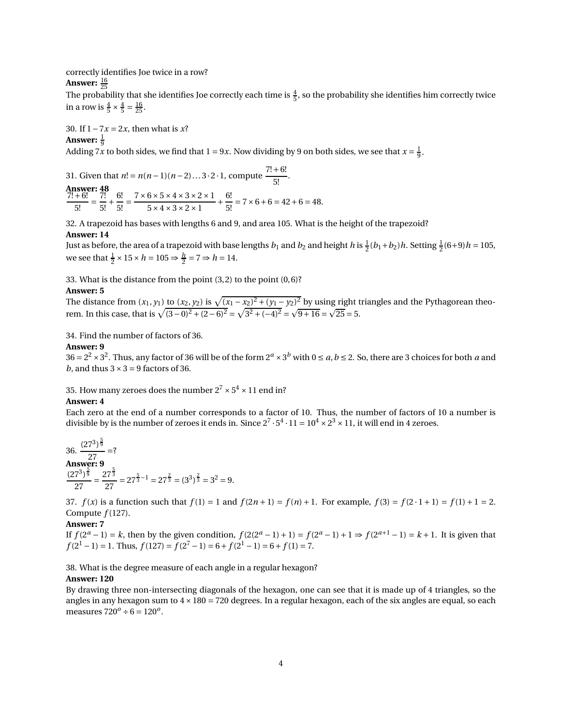correctly identifies Joe twice in a row?

# **Answer:**  $\frac{16}{25}$

The probability that she identifies Joe correctly each time is  $\frac{4}{5}$ , so the probability she identifies him correctly twice in a row is  $\frac{4}{5} \times \frac{4}{5} = \frac{16}{25}$ .

30. If 1−7*x* = 2*x*, then what is *x*?

# Answer:  $\frac{1}{9}$

Adding 7*x* to both sides, we find that  $1 = 9x$ . Now dividing by 9 on both sides, we see that  $x = \frac{1}{9}$ .

31. Given that  $n! = n(n-1)(n-2)...3 \cdot 2 \cdot 1$ , compute  $\frac{7!+6!}{5!}$ . Answer: 48  $\frac{7!+6!}{2!}$  $\frac{1}{5!}$  = 7!  $\frac{1}{5!}$  + 6!  $\frac{6!}{5!} = \frac{7 \times 6 \times 5 \times 4 \times 3 \times 2 \times 1}{5 \times 4 \times 3 \times 2 \times 1}$  $5 \times 4 \times 3 \times 2 \times 1$ <sup>+</sup> 6!  $\frac{1}{5!}$  = 7 × 6 + 6 = 42 + 6 = 48.

32. A trapezoid has bases with lengths 6 and 9, and area 105. What is the height of the trapezoid?

## **Answer: 14**

Just as before, the area of a trapezoid with base lengths  $b_1$  and  $b_2$  and height  $h$  is  $\frac{1}{2}(b_1+b_2)h$ . Setting  $\frac{1}{2}(6+9)h = 105$ , we see that  $\frac{1}{2} \times 15 \times h = 105 \Rightarrow \frac{h}{2} = 7 \Rightarrow h = 14.$ 

33. What is the distance from the point (3,2) to the point (0,6)?

### **Answer: 5**

The distance from  $(x_1, y_1)$  to  $(x_2, y_2)$  is  $\sqrt{(x_1 - x_2)^2 + (y_1 - y_2)^2}$  by using right triangles and the Pythagorean theorem. In this case, that is  $\sqrt{(3-0)^2 + (2-6)^2} = \sqrt{3^2 + (-4)^2} = \sqrt{9+16} = \sqrt{25} = 5$ .

34. Find the number of factors of 36.

### **Answer: 9**

 $36 = 2^2 \times 3^2$ . Thus, any factor of 36 will be of the form  $2^a \times 3^b$  with  $0 \le a, b \le 2$ . So, there are 3 choices for both *a* and *b*, and thus  $3 \times 3 = 9$  factors of 36.

35. How many zeroes does the number  $2^7 \times 5^4 \times 11$  end in?

### **Answer: 4**

Each zero at the end of a number corresponds to a factor of 10. Thus, the number of factors of 10 a number is divisible by is the number of zeroes it ends in. Since  $2^7 \cdot 5^4 \cdot 11 = 10^4 \times 2^3 \times 11$ , it will end in 4 zeroes.

36. 
$$
\frac{(27^3)^{\frac{5}{9}}}{27} = ?
$$
  
Answer: 9  

$$
\frac{(27^3)^{\frac{5}{9}}}{27} = \frac{27^{\frac{5}{3}}}{27} = 27^{\frac{5}{3}-1} = 27^{\frac{2}{3}} = (3^3)^{\frac{2}{3}} = 3^2 = 9.
$$

37.  $f(x)$  is a function such that  $f(1) = 1$  and  $f(2n + 1) = f(n) + 1$ . For example,  $f(3) = f(2 \cdot 1 + 1) = f(1) + 1 = 2$ . Compute  $f(127)$ .

### **Answer: 7**

If  $f(2^a - 1) = k$ , then by the given condition,  $f(2(2^a - 1) + 1) = f(2^a - 1) + 1 \Rightarrow f(2^{a+1} - 1) = k + 1$ . It is given that  $f(2^1 - 1) = 1$ . Thus,  $f(127) = f(2^7 - 1) = 6 + f(2^1 - 1) = 6 + f(1) = 7$ .

38. What is the degree measure of each angle in a regular hexagon?

### **Answer: 120**

By drawing three non-intersecting diagonals of the hexagon, one can see that it is made up of 4 triangles, so the angles in any hexagon sum to  $4 \times 180 = 720$  degrees. In a regular hexagon, each of the six angles are equal, so each measures  $720^o \div 6 = 120^o$ .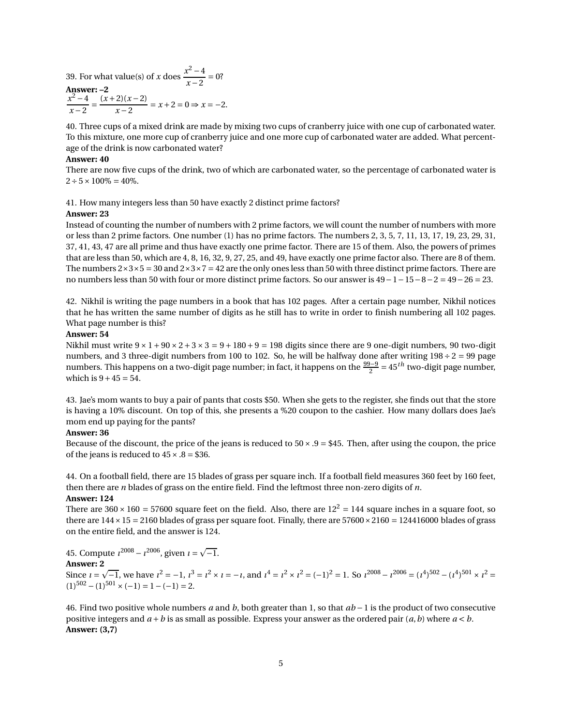39. For what value(s) of *x* does  $\frac{x^2-4}{x^2-2}$  $\frac{x-2}{x-2} = 0$ ? **Answer: –2**  $x^2 - 4$  $\frac{x^2 - 4}{x - 2} = \frac{(x + 2)(x - 2)}{x - 2}$  $\frac{2}{x-2} = x+2 = 0 \Rightarrow x = -2.$ 

40. Three cups of a mixed drink are made by mixing two cups of cranberry juice with one cup of carbonated water. To this mixture, one more cup of cranberry juice and one more cup of carbonated water are added. What percentage of the drink is now carbonated water?

### **Answer: 40**

There are now five cups of the drink, two of which are carbonated water, so the percentage of carbonated water is  $2 \div 5 \times 100\% = 40\%.$ 

41. How many integers less than 50 have exactly 2 distinct prime factors?

### **Answer: 23**

Instead of counting the number of numbers with 2 prime factors, we will count the number of numbers with more or less than 2 prime factors. One number (1) has no prime factors. The numbers 2, 3, 5, 7, 11, 13, 17, 19, 23, 29, 31, 37, 41, 43, 47 are all prime and thus have exactly one prime factor. There are 15 of them. Also, the powers of primes that are less than 50, which are 4, 8, 16, 32, 9, 27, 25, and 49, have exactly one prime factor also. There are 8 of them. The numbers  $2\times3\times5=30$  and  $2\times3\times7=42$  are the only ones less than 50 with three distinct prime factors. There are no numbers less than 50 with four or more distinct prime factors. So our answer is 49−1−15−8−2 = 49−26 = 23.

42. Nikhil is writing the page numbers in a book that has 102 pages. After a certain page number, Nikhil notices that he has written the same number of digits as he still has to write in order to finish numbering all 102 pages. What page number is this?

### **Answer: 54**

Nikhil must write  $9 \times 1 + 90 \times 2 + 3 \times 3 = 9 + 180 + 9 = 198$  digits since there are 9 one-digit numbers, 90 two-digit numbers, and 3 three-digit numbers from 100 to 102. So, he will be halfway done after writing  $198 \div 2 = 99$  page numbers. This happens on a two-digit page number; in fact, it happens on the  $\frac{99-9}{2}$  = 45<sup>*th*</sup> two-digit page number, which is  $9 + 45 = 54$ .

43. Jae's mom wants to buy a pair of pants that costs \$50. When she gets to the register, she finds out that the store is having a 10% discount. On top of this, she presents a %20 coupon to the cashier. How many dollars does Jae's mom end up paying for the pants?

### **Answer: 36**

Because of the discount, the price of the jeans is reduced to  $50 \times .9 = $45$ . Then, after using the coupon, the price of the jeans is reduced to  $45 \times .8 = $36$ .

44. On a football field, there are 15 blades of grass per square inch. If a football field measures 360 feet by 160 feet, then there are *n* blades of grass on the entire field. Find the leftmost three non-zero digits of *n*. **Answer: 124**

There are  $360 \times 160 = 57600$  square feet on the field. Also, there are  $12^2 = 144$  square inches in a square foot, so there are  $144 \times 15 = 2160$  blades of grass per square foot. Finally, there are  $57600 \times 2160 = 124416000$  blades of grass on the entire field, and the answer is 124.

45. Compute  $i^{2008} - i^{2006}$ , given  $i = \sqrt{-1}$ . **Answer: 2** Since  $i = \sqrt{-1}$ , we have  $i^2 = -1$ ,  $i^3 = i^2 \times i = -i$ , and  $i^4 = i^2 \times i^2 = (-1)^2 = 1$ . So  $i^{2008} - i^{2006} = (i^4)^{502} - (i^4)^{501} \times i^2 =$  $(1)^{502} - (1)^{501} \times (-1) = 1 - (-1) = 2.$ 

46. Find two positive whole numbers *a* and *b*, both greater than 1, so that *ab* −1 is the product of two consecutive positive integers and  $a + b$  is as small as possible. Express your answer as the ordered pair  $(a, b)$  where  $a < b$ . **Answer: (3,7)**